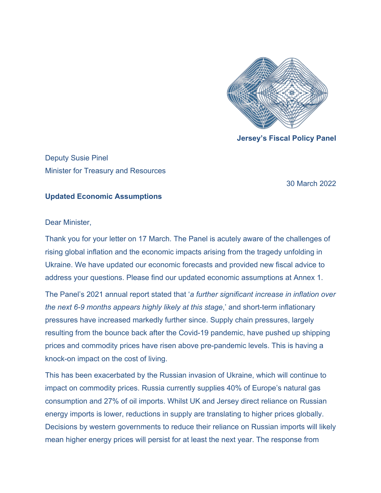

**Jersey's Fiscal Policy Panel**

Deputy Susie Pinel Minister for Treasury and Resources

30 March 2022

## **Updated Economic Assumptions**

Dear Minister,

Thank you for your letter on 17 March. The Panel is acutely aware of the challenges of rising global inflation and the economic impacts arising from the tragedy unfolding in Ukraine. We have updated our economic forecasts and provided new fiscal advice to address your questions. Please find our updated economic assumptions at Annex 1.

The Panel's 2021 annual report stated that '*a further significant increase in inflation over the next 6-9 months appears highly likely at this stage*,' and short-term inflationary pressures have increased markedly further since. Supply chain pressures, largely resulting from the bounce back after the Covid-19 pandemic, have pushed up shipping prices and commodity prices have risen above pre-pandemic levels. This is having a knock-on impact on the cost of living.

This has been exacerbated by the Russian invasion of Ukraine, which will continue to impact on commodity prices. Russia currently supplies 40% of Europe's natural gas consumption and 27% of oil imports. Whilst UK and Jersey direct reliance on Russian energy imports is lower, reductions in supply are translating to higher prices globally. Decisions by western governments to reduce their reliance on Russian imports will likely mean higher energy prices will persist for at least the next year. The response from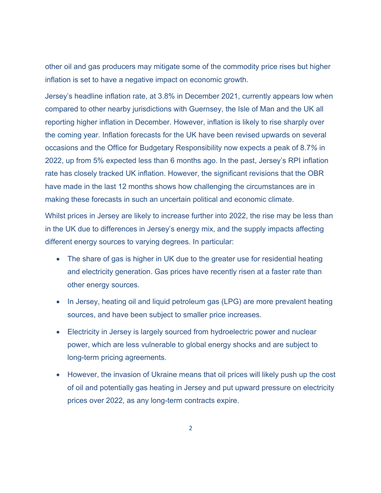other oil and gas producers may mitigate some of the commodity price rises but higher inflation is set to have a negative impact on economic growth.

Jersey's headline inflation rate, at 3.8% in December 2021, currently appears low when compared to other nearby jurisdictions with Guernsey, the Isle of Man and the UK all reporting higher inflation in December. However, inflation is likely to rise sharply over the coming year. Inflation forecasts for the UK have been revised upwards on several occasions and the Office for Budgetary Responsibility now expects a peak of 8.7*%* in 2022, up from 5% expected less than 6 months ago. In the past, Jersey's RPI inflation rate has closely tracked UK inflation. However, the significant revisions that the OBR have made in the last 12 months shows how challenging the circumstances are in making these forecasts in such an uncertain political and economic climate.

Whilst prices in Jersey are likely to increase further into 2022, the rise may be less than in the UK due to differences in Jersey's energy mix, and the supply impacts affecting different energy sources to varying degrees. In particular:

- The share of gas is higher in UK due to the greater use for residential heating and electricity generation. Gas prices have recently risen at a faster rate than other energy sources.
- In Jersey, heating oil and liquid petroleum gas (LPG) are more prevalent heating sources, and have been subject to smaller price increases.
- Electricity in Jersey is largely sourced from hydroelectric power and nuclear power, which are less vulnerable to global energy shocks and are subject to long-term pricing agreements.
- However, the invasion of Ukraine means that oil prices will likely push up the cost of oil and potentially gas heating in Jersey and put upward pressure on electricity prices over 2022, as any long-term contracts expire.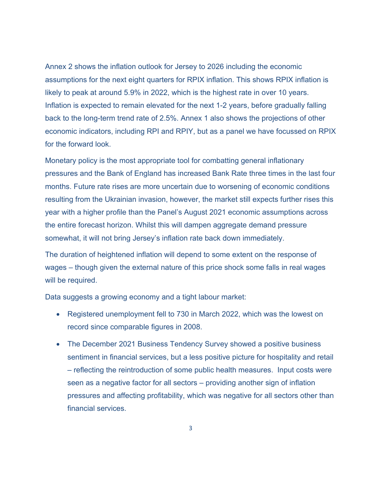Annex 2 shows the inflation outlook for Jersey to 2026 including the economic assumptions for the next eight quarters for RPIX inflation. This shows RPIX inflation is likely to peak at around 5.9% in 2022, which is the highest rate in over 10 years. Inflation is expected to remain elevated for the next 1-2 years, before gradually falling back to the long-term trend rate of 2.5%. Annex 1 also shows the projections of other economic indicators, including RPI and RPIY, but as a panel we have focussed on RPIX for the forward look.

Monetary policy is the most appropriate tool for combatting general inflationary pressures and the Bank of England has increased Bank Rate three times in the last four months. Future rate rises are more uncertain due to worsening of economic conditions resulting from the Ukrainian invasion, however, the market still expects further rises this year with a higher profile than the Panel's August 2021 economic assumptions across the entire forecast horizon. Whilst this will dampen aggregate demand pressure somewhat, it will not bring Jersey's inflation rate back down immediately.

The duration of heightened inflation will depend to some extent on the response of wages – though given the external nature of this price shock some falls in real wages will be required.

Data suggests a growing economy and a tight labour market:

- Registered unemployment fell to 730 in March 2022, which was the lowest on record since comparable figures in 2008.
- The December 2021 Business Tendency Survey showed a positive business sentiment in financial services, but a less positive picture for hospitality and retail – reflecting the reintroduction of some public health measures. Input costs were seen as a negative factor for all sectors – providing another sign of inflation pressures and affecting profitability, which was negative for all sectors other than financial services.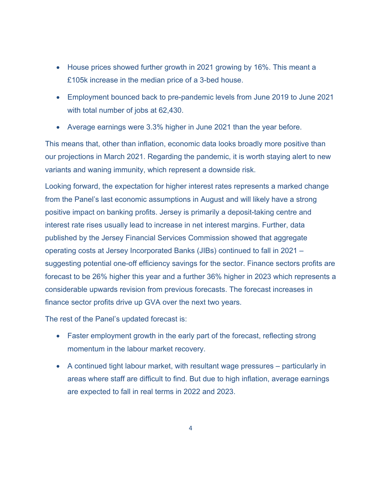- House prices showed further growth in 2021 growing by 16%. This meant a £105k increase in the median price of a 3-bed house.
- Employment bounced back to pre-pandemic levels from June 2019 to June 2021 with total number of jobs at 62,430.
- Average earnings were 3.3% higher in June 2021 than the year before.

This means that, other than inflation, economic data looks broadly more positive than our projections in March 2021. Regarding the pandemic, it is worth staying alert to new variants and waning immunity, which represent a downside risk.

Looking forward, the expectation for higher interest rates represents a marked change from the Panel's last economic assumptions in August and will likely have a strong positive impact on banking profits. Jersey is primarily a deposit-taking centre and interest rate rises usually lead to increase in net interest margins. Further, data published by the Jersey Financial Services Commission showed that aggregate operating costs at Jersey Incorporated Banks (JIBs) continued to fall in 2021 – suggesting potential one-off efficiency savings for the sector. Finance sectors profits are forecast to be 26% higher this year and a further 36% higher in 2023 which represents a considerable upwards revision from previous forecasts. The forecast increases in finance sector profits drive up GVA over the next two years.

The rest of the Panel's updated forecast is:

- Faster employment growth in the early part of the forecast, reflecting strong momentum in the labour market recovery.
- A continued tight labour market, with resultant wage pressures particularly in areas where staff are difficult to find. But due to high inflation, average earnings are expected to fall in real terms in 2022 and 2023.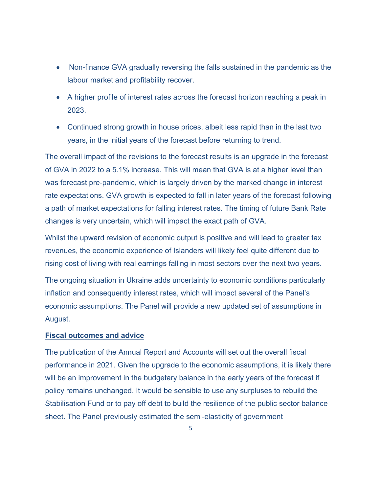- Non-finance GVA gradually reversing the falls sustained in the pandemic as the labour market and profitability recover.
- A higher profile of interest rates across the forecast horizon reaching a peak in 2023.
- Continued strong growth in house prices, albeit less rapid than in the last two years, in the initial years of the forecast before returning to trend.

The overall impact of the revisions to the forecast results is an upgrade in the forecast of GVA in 2022 to a 5.1% increase. This will mean that GVA is at a higher level than was forecast pre-pandemic, which is largely driven by the marked change in interest rate expectations. GVA growth is expected to fall in later years of the forecast following a path of market expectations for falling interest rates. The timing of future Bank Rate changes is very uncertain, which will impact the exact path of GVA.

Whilst the upward revision of economic output is positive and will lead to greater tax revenues, the economic experience of Islanders will likely feel quite different due to rising cost of living with real earnings falling in most sectors over the next two years.

The ongoing situation in Ukraine adds uncertainty to economic conditions particularly inflation and consequently interest rates, which will impact several of the Panel's economic assumptions. The Panel will provide a new updated set of assumptions in August.

## **Fiscal outcomes and advice**

The publication of the Annual Report and Accounts will set out the overall fiscal performance in 2021. Given the upgrade to the economic assumptions, it is likely there will be an improvement in the budgetary balance in the early years of the forecast if policy remains unchanged. It would be sensible to use any surpluses to rebuild the Stabilisation Fund or to pay off debt to build the resilience of the public sector balance sheet. The Panel previously estimated the semi-elasticity of government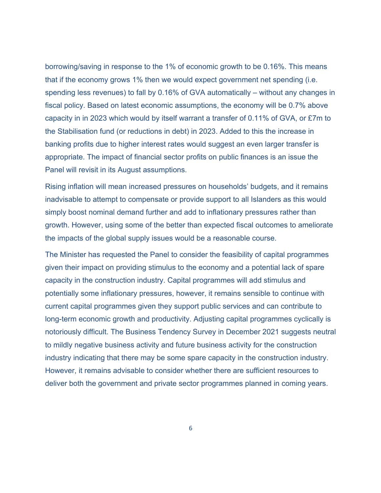borrowing/saving in response to the 1% of economic growth to be 0.16%. This means that if the economy grows 1% then we would expect government net spending (i.e. spending less revenues) to fall by 0.16% of GVA automatically – without any changes in fiscal policy. Based on latest economic assumptions, the economy will be 0.7% above capacity in in 2023 which would by itself warrant a transfer of 0.11% of GVA, or £7m to the Stabilisation fund (or reductions in debt) in 2023. Added to this the increase in banking profits due to higher interest rates would suggest an even larger transfer is appropriate. The impact of financial sector profits on public finances is an issue the Panel will revisit in its August assumptions.

Rising inflation will mean increased pressures on households' budgets, and it remains inadvisable to attempt to compensate or provide support to all Islanders as this would simply boost nominal demand further and add to inflationary pressures rather than growth. However, using some of the better than expected fiscal outcomes to ameliorate the impacts of the global supply issues would be a reasonable course.

The Minister has requested the Panel to consider the feasibility of capital programmes given their impact on providing stimulus to the economy and a potential lack of spare capacity in the construction industry. Capital programmes will add stimulus and potentially some inflationary pressures, however, it remains sensible to continue with current capital programmes given they support public services and can contribute to long-term economic growth and productivity. Adjusting capital programmes cyclically is notoriously difficult. The Business Tendency Survey in December 2021 suggests neutral to mildly negative business activity and future business activity for the construction industry indicating that there may be some spare capacity in the construction industry. However, it remains advisable to consider whether there are sufficient resources to deliver both the government and private sector programmes planned in coming years.

6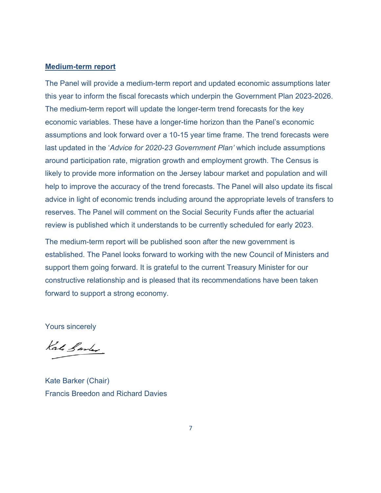## **Medium-term report**

The Panel will provide a medium-term report and updated economic assumptions later this year to inform the fiscal forecasts which underpin the Government Plan 2023-2026. The medium-term report will update the longer-term trend forecasts for the key economic variables. These have a longer-time horizon than the Panel's economic assumptions and look forward over a 10-15 year time frame. The trend forecasts were last updated in the '*Advice for 2020-23 Government Plan'* which include assumptions around participation rate, migration growth and employment growth. The Census is likely to provide more information on the Jersey labour market and population and will help to improve the accuracy of the trend forecasts. The Panel will also update its fiscal advice in light of economic trends including around the appropriate levels of transfers to reserves. The Panel will comment on the Social Security Funds after the actuarial review is published which it understands to be currently scheduled for early 2023.

The medium-term report will be published soon after the new government is established. The Panel looks forward to working with the new Council of Ministers and support them going forward. It is grateful to the current Treasury Minister for our constructive relationship and is pleased that its recommendations have been taken forward to support a strong economy.

Yours sincerely

Kato Santer

Kate Barker (Chair) Francis Breedon and Richard Davies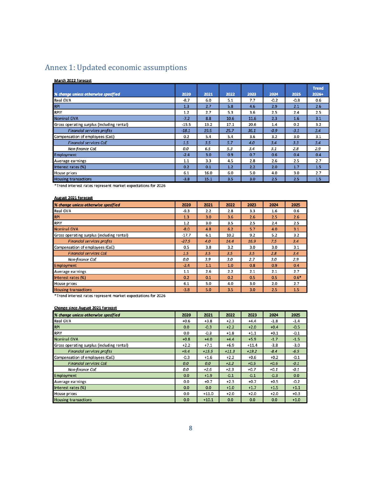# Annex 1: Updated economic assumptions

#### March 2022 forecast

|                                            |         |      |      |      |        |        | <b>Trend</b> |
|--------------------------------------------|---------|------|------|------|--------|--------|--------------|
| % change unless otherwise specified        | 2020    | 2021 | 2022 | 2023 | 2024   | 2025   | 2026+        |
| Real GVA                                   | $-8.7$  | 6.0  | 5.1  | 7.7  | $-0.2$ | $-0.8$ | 0.6          |
| <b>RPI</b>                                 | 1.3     | 2.7  | 5.8  | 4.6  | 2.9    | 2.1    | 2.6          |
| <b>RPIY</b>                                | 1.2     | 2.7  | 5.3  | 3.6  | 2.5    | 2.4    | 2.5          |
| <b>Nominal GVA</b>                         | $-7.2$  | 8.8  | 10.6 | 11.6 | 2.3    | 1.6    | 3.1          |
| Gross operating surplus (including rental) | $-15.5$ | 13.2 | 17.1 | 20.6 | 1.4    | 0.2    | 3.2          |
| <b>Financial services profits</b>          | $-18.1$ | 19.5 | 25.7 | 36.1 | $-0.9$ | $-3.1$ | 3.4          |
| Compensation of employees (CoE)            | 0.2     | 5.4  | 5.4  | 3.6  | 3.2    | 3.0    | 3.1          |
| <b>Financial services CoE</b>              | 1.5     | 3.5  | 5.7  | 4.0  | 3.4    | 3.3    | 3.4          |
| Non-finance CoE                            | 0.0     | 6.5  | 5.3  | 3.4  | 3.1    | 2.8    | 2.9          |
| Employment                                 | $-2.4$  | 3.0  | 0.9  | 0.7  | 0.6    | 0.4    | 0.4          |
| Average earnings                           | 1.1     | 3.3  | 4.5  | 2.8  | 2.6    | 2.5    | 2.7          |
| Interest rates (%)                         | 0.2     | 0.1  | 1.2  | 2.2  | 2.0    | 1.7    | 1.5          |
| House prices                               | 6.1     | 16.0 | 6.0  | 5.0  | 4.0    | 3.0    | 2.7          |
| <b>Housing transactions</b>                | $-3.8$  | 15.1 | 3.5  | 3.0  | 2.5    | 2.5    | 1.5          |

\*Trend interest rates represent market expectations for 2026

#### August 2021 forecast

| % change unless otherwise specified        | 2020    | 2021 | 2022 | 2023 | 2024 | 2025   |
|--------------------------------------------|---------|------|------|------|------|--------|
| Real GVA                                   | $-9.3$  | 2.2  | 2.8  | 3.3  | 1.6  | 0.6    |
| <b>RPI</b>                                 | 1.3     | 3.0  | 3.6  | 2.6  | 2.5  | 2.6    |
| <b>RPIY</b>                                | 1.2     | 3.0  | 3.5  | 2.5  | 2.4  | 2.5    |
| <b>Nominal GVA</b>                         | $-8.0$  | 4.8  | 6.2  | 5.7  | 4.0  | 3.1    |
| Gross operating surplus (including rental) | $-17.7$ | 6.1  | 10.2 | 9.2  | 5.2  | 3.2    |
| <b>Financial services profits</b>          |         | 4.0  | 14.4 | 16.9 | 7.5  | 3.4    |
| Compensation of employees (CoE)            | 0.5     | 3.8  | 3.2  | 3.0  | 3.0  | 3.1    |
| <b>Financial services CoE</b>              | 1.5     | 3.5  | 3.5  | 3.5  | 2.8  | 3.4    |
| Non-finance CoE                            | 0.0     | 3.9  | 3.0  | 2.7  | 3.0  | 2.9    |
| Employment                                 | $-2.4$  | 1.1  | 1.0  | 0.8  | 0.9  | 0.4    |
| Average earnings                           | 1.1     | 2.6  | 2.2  | 2.1  | 2.1  | 2.7    |
| Interest rates (%)                         | 0.2     | 0.1  | 0.2  | 0.5  | 0.5  | $0.6*$ |
| House prices                               | 6.1     | 5.0  | 4.0  | 3.0  | 2.0  | 2.7    |
| <b>Housing transactions</b>                | $-3.8$  | 5.0  | 3.5  | 3.0  | 2.5  | 1.5    |

\*Trend interest rates represent market expectations for 2026

### Change since August 2021 forecast

| % change unless otherwise specified        | 2020   | 2021    | 2022    | 2023    | 2024   | 2025   |
|--------------------------------------------|--------|---------|---------|---------|--------|--------|
| Real GVA                                   | $+0.6$ | $+3.8$  | $+2.3$  | $+4.4$  | $-1.8$ | $-1.4$ |
| <b>RPI</b>                                 | 0.0    | $-0.3$  | $+2.2$  | $+2.0$  | $+0.4$ | $-0.5$ |
| <b>RPIY</b>                                | 0.0    | $-0.3$  | $+1.8$  | $+1.1$  | $+0.1$ | $-0.1$ |
| <b>Nominal GVA</b>                         | $+0.8$ | $+4.0$  | $+4.4$  | $+5.9$  | $-1.7$ | $-1.5$ |
| Gross operating surplus (including rental) | $+2.2$ | $+7.1$  | $+6.9$  | $+11.4$ | $-3.8$ | $-3.0$ |
| <b>Financial services profits</b>          | $+9.4$ | $+15.5$ | $+11.3$ | $+19.2$ | $-8.4$ | $-6.5$ |
| Compensation of employees (CoE)            | $-0.3$ | $+1.6$  | $+2.2$  | $+0.6$  | $+0.2$ | $-0.1$ |
| <b>Financial services CoE</b>              | 0.0    | 0.0     | $+2.2$  | $+0.5$  | $+0.6$ | $-0.1$ |
| Non-finance CoE                            | 0.0    | $+2.6$  | $+2.3$  | $+0.7$  | $+0.1$ | -0.1   |
| Employment                                 | 0.0    | $+1.9$  | $-0.1$  | $-0.1$  | $-0.3$ | 0.0    |
| Average earnings                           | 0.0    | $+0.7$  | $+2.3$  | $+0.7$  | $+0.5$ | $-0.2$ |
| Interest rates (%)                         | 0.0    | 0.0     | $+1.0$  | $+1.7$  | $+1.5$ | $+1.1$ |
| House prices                               | 0.0    | $+11.0$ | $+2.0$  | $+2.0$  | $+2.0$ | $+0.3$ |
| <b>Housing transactions</b>                | 0.0    | $+10.1$ | 0.0     | 0.0     | 0.0    | $+1.0$ |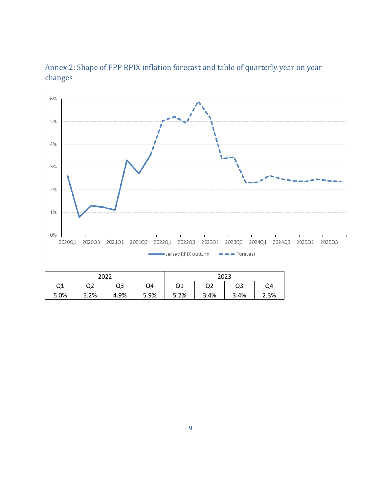



| 2022 |      |      |      | 2023 |      |      |      |  |  |
|------|------|------|------|------|------|------|------|--|--|
| Q1   | Q2   | Q3   | Q4   | Q1   | Q2   | Q3   | Q4   |  |  |
| 5.0% | 5.2% | 4.9% | 5.9% | 5.2% | 3.4% | 3.4% | 2.3% |  |  |